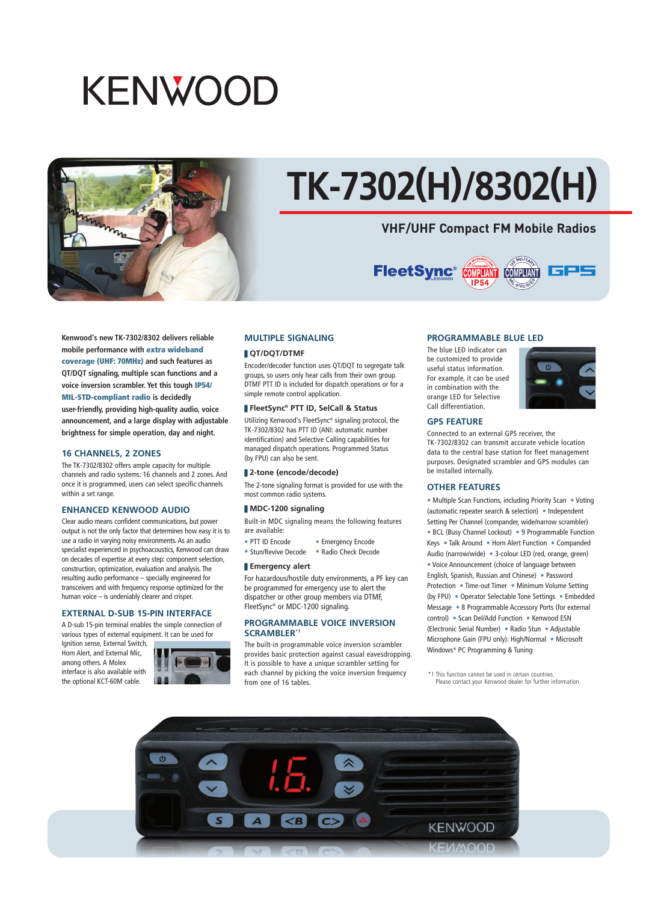## **KENWOOD**



# **TK-7302(H)/8302(H)**

### **VHF/UHF Compact FM Mobile Radios**



**Kenwood's new TK-7302/8302 delivers reliable mobile performance with extra wideband coverage (UHF: 70MHz) and such features as QT/DQT signaling, multiple scan functions and a voice inversion scrambler. Yet this tough IP54/ MIL-STD-compliant radio is decidedly user-friendly, providing high-quality audio, voice announcement, and a large display with adjustable brightness for simple operation, day and night.**

#### **16 CHANNELS, 2 ZONES**

The TK-7302/8302 offers ample capacity for multiple channels and radio systems: 16 channels and 2 zones. And once it is programmed, users can select specific channels within a set range.

#### **ENHANCED KENWOOD AUDIO**

Clear audio means confident communications, but power output is not the only factor that determines how easy it is to use a radio in varying noisy environments. As an audio specialist experienced in psychoacoustics, Kenwood can draw on decades of expertise at every step: component selection, construction, optimization, evaluation and analysis. The resulting audio performance – specially engineered for transceivers and with frequency response optimized for the human voice – is undeniably clearer and crisper.

#### **EXTERNAL D-SUB 15-PIN INTERFACE**

A D-sub 15-pin terminal enables the simple connection of various types of external equipment. It can be used for

Ignition sense, External Switch, Horn Alert, and External Mic, among others. A Molex interface is also available with the optional KCT-60M cable.



#### **MULTIPLE SIGNALING**

#### ❚ **QT/DQT/DTMF**

Encoder/decoder function uses QT/DQT to segregate talk groups, so users only hear calls from their own group. DTMF PTT ID is included for dispatch operations or for a simple remote control application.

#### ❚ **FleetSync® PTT ID, SelCall & Status**

Utilizing Kenwood's FleetSync® signaling protocol, the TK-7302/8302 has PTT ID (ANI: automatic number identification) and Selective Calling capabilities for managed dispatch operations. Programmed Status (by FPU) can also be sent.

#### ❚ **2-tone (encode/decode)**

The 2-tone signaling format is provided for use with the most common radio systems.

#### ❚ **MDC-1200 signaling**

Built-in MDC signaling means the following features are available:

- PTT ID Encode Emergency Encode
- Stun/Revive Decode Radio Check Decode

#### ❚ **Emergency alert**

For hazardous/hostile duty environments, a PF key can be programmed for emergency use to alert the dispatcher or other group members via DTMF, FleetSync® or MDC-1200 signaling.

#### **PROGRAMMABLE VOICE INVERSION SCRAMBLER\*1**

The built-in programmable voice inversion scrambler provides basic protection against casual eavesdropping. It is possible to have a unique scrambler setting for each channel by picking the voice inversion frequency from one of 16 tables.

#### **PROGRAMMABLE BLUE LED**

The blue LED indicator can be customized to provide useful status information. For example, it can be used in combination with the orange LED for Selective Call differentiation.



#### **GPS FEATURE**

Connected to an external GPS receiver, the TK-7302/8302 can transmit accurate vehicle location data to the central base station for fleet management purposes. Designated scrambler and GPS modules can be installed internally.

#### **OTHER FEATURES**

• Multiple Scan Functions, including Priority Scan • Voting (automatic repeater search & selection) • Independent Setting Per Channel (compander, wide/narrow scrambler) • BCL (Busy Channel Lockout) • 9 Programmable Function Keys • Talk Around • Horn Alert Function • Companded Audio (narrow/wide) • 3-colour LED (red, orange, green) • Voice Announcement (choice of language between English, Spanish, Russian and Chinese) • Password Protection • Time-out Timer • Minimum Volume Setting (by FPU) • Operator Selectable Tone Settings • Embedded Message • 8 Programmable Accessory Ports (for external control) • Scan Del/Add Function • Kenwood ESN (Electronic Serial Number) • Radio Stun • Adjustable Microphone Gain (FPU only): High/Normal • Microsoft Windows® PC Programming & Tuning

\*1 This function cannot be used in certain countries. This rancelent cannot be asea in certain countries.